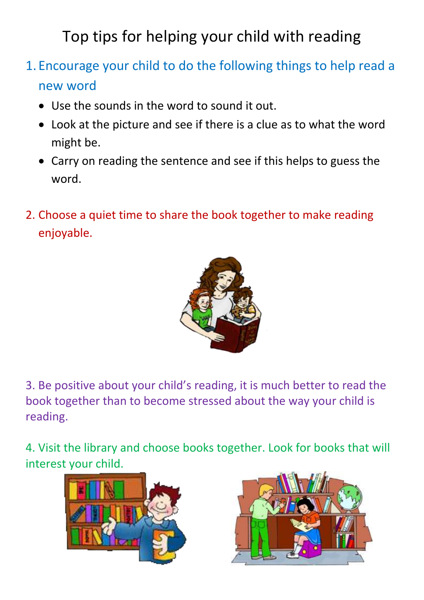Top tips for helping your child with reading

- 1. Encourage your child to do the following things to help read a new word
	- Use the sounds in the word to sound it out.
	- Look at the picture and see if there is a clue as to what the word might be.
	- Carry on reading the sentence and see if this helps to guess the word.
- 2. Choose a quiet time to share the book together to make reading enjoyable.



3. Be positive about your child's reading, it is much better to read the book together than to become stressed about the way your child is reading.

4. Visit the library and choose books together. Look for books that will interest your child.